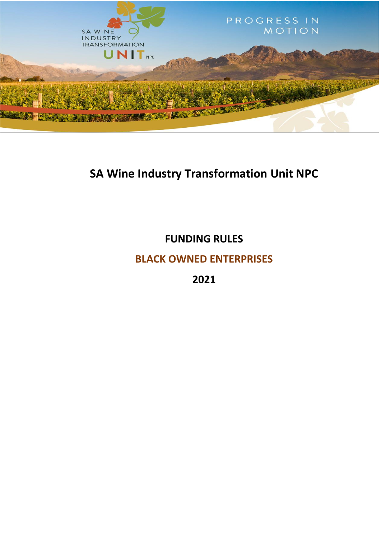

# **SA Wine Industry Transformation Unit NPC**

**FUNDING RULES**

**BLACK OWNED ENTERPRISES**

**2021**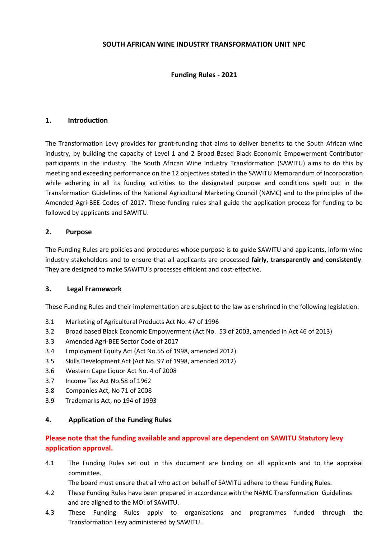# **SOUTH AFRICAN WINE INDUSTRY TRANSFORMATION UNIT NPC**

# **Funding Rules - 2021**

# **1. Introduction**

The Transformation Levy provides for grant-funding that aims to deliver benefits to the South African wine industry, by building the capacity of Level 1 and 2 Broad Based Black Economic Empowerment Contributor participants in the industry. The South African Wine Industry Transformation (SAWITU) aims to do this by meeting and exceeding performance on the 12 objectives stated in the SAWITU Memorandum of Incorporation while adhering in all its funding activities to the designated purpose and conditions spelt out in the Transformation Guidelines of the National Agricultural Marketing Council (NAMC) and to the principles of the Amended Agri-BEE Codes of 2017. These funding rules shall guide the application process for funding to be followed by applicants and SAWITU.

# **2. Purpose**

The Funding Rules are policies and procedures whose purpose is to guide SAWITU and applicants, inform wine industry stakeholders and to ensure that all applicants are processed **fairly, transparently and consistently**. They are designed to make SAWITU's processes efficient and cost-effective.

# **3. Legal Framework**

These Funding Rules and their implementation are subject to the law as enshrined in the following legislation:

- 3.1 Marketing of Agricultural Products Act No. 47 of 1996
- 3.2 Broad based Black Economic Empowerment (Act No. 53 of 2003, amended in Act 46 of 2013)
- 3.3 Amended Agri-BEE Sector Code of 2017
- 3.4 Employment Equity Act (Act No.55 of 1998, amended 2012)
- 3.5 Skills Development Act (Act No. 97 of 1998, amended 2012)
- 3.6 Western Cape Liquor Act No. 4 of 2008
- 3.7 Income Tax Act No.58 of 1962
- 3.8 Companies Act, No 71 of 2008
- 3.9 Trademarks Act, no 194 of 1993

#### **4. Application of the Funding Rules**

# **Please note that the funding available and approval are dependent on SAWITU Statutory levy application approval.**

4.1 The Funding Rules set out in this document are binding on all applicants and to the appraisal committee.

The board must ensure that all who act on behalf of SAWITU adhere to these Funding Rules.

- 4.2 These Funding Rules have been prepared in accordance with the NAMC Transformation Guidelines and are aligned to the MOI of SAWITU.
- 4.3 These Funding Rules apply to organisations and programmes funded through the Transformation Levy administered by SAWITU.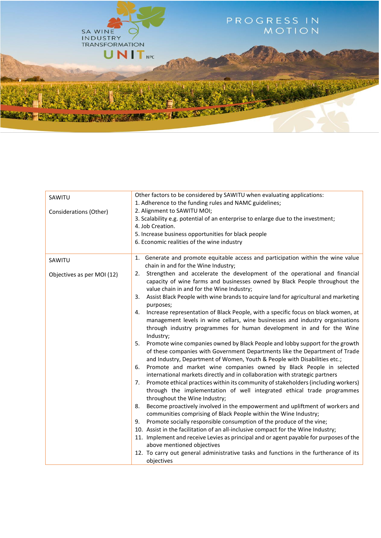

| SAWITU                     | Other factors to be considered by SAWITU when evaluating applications:                    |  |  |
|----------------------------|-------------------------------------------------------------------------------------------|--|--|
|                            | 1. Adherence to the funding rules and NAMC guidelines;                                    |  |  |
| Considerations (Other)     | 2. Alignment to SAWITU MOI;                                                               |  |  |
|                            | 3. Scalability e.g. potential of an enterprise to enlarge due to the investment;          |  |  |
|                            | 4. Job Creation.                                                                          |  |  |
|                            | 5. Increase business opportunities for black people                                       |  |  |
|                            | 6. Economic realities of the wine industry                                                |  |  |
|                            |                                                                                           |  |  |
| SAWITU                     | 1. Generate and promote equitable access and participation within the wine value          |  |  |
|                            | chain in and for the Wine Industry;                                                       |  |  |
| Objectives as per MOI (12) | Strengthen and accelerate the development of the operational and financial<br>2.          |  |  |
|                            | capacity of wine farms and businesses owned by Black People throughout the                |  |  |
|                            | value chain in and for the Wine Industry;                                                 |  |  |
|                            | Assist Black People with wine brands to acquire land for agricultural and marketing<br>3. |  |  |
|                            | purposes;                                                                                 |  |  |
|                            | Increase representation of Black People, with a specific focus on black women, at<br>4.   |  |  |
|                            | management levels in wine cellars, wine businesses and industry organisations             |  |  |
|                            | through industry programmes for human development in and for the Wine                     |  |  |
|                            | Industry;                                                                                 |  |  |
|                            | Promote wine companies owned by Black People and lobby support for the growth<br>5.       |  |  |
|                            | of these companies with Government Departments like the Department of Trade               |  |  |
|                            | and Industry, Department of Women, Youth & People with Disabilities etc.;                 |  |  |
|                            | Promote and market wine companies owned by Black People in selected<br>6.                 |  |  |
|                            | international markets directly and in collaboration with strategic partners               |  |  |
|                            |                                                                                           |  |  |
|                            | Promote ethical practices within its community of stakeholders (including workers)<br>7.  |  |  |
|                            | through the implementation of well integrated ethical trade programmes                    |  |  |
|                            | throughout the Wine Industry;                                                             |  |  |
|                            | Become proactively involved in the empowerment and upliftment of workers and<br>8.        |  |  |
|                            | communities comprising of Black People within the Wine Industry;                          |  |  |
|                            | Promote socially responsible consumption of the produce of the vine;<br>9.                |  |  |
|                            | 10. Assist in the facilitation of an all-inclusive compact for the Wine Industry;         |  |  |
|                            | 11. Implement and receive Levies as principal and or agent payable for purposes of the    |  |  |
|                            | above mentioned objectives                                                                |  |  |
|                            | 12. To carry out general administrative tasks and functions in the furtherance of its     |  |  |
|                            | objectives                                                                                |  |  |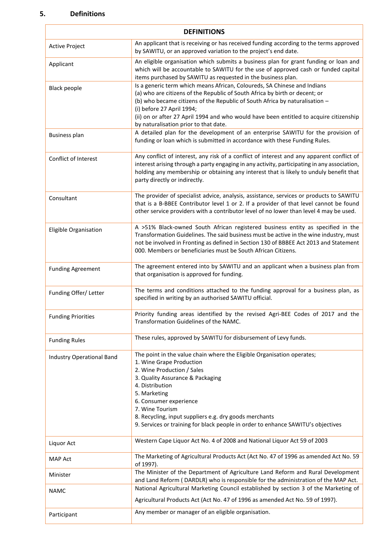# **5. Definitions**

N

| <b>DEFINITIONS</b>        |                                                                                                                                                                                                                                                                                                                                                                                                        |  |  |
|---------------------------|--------------------------------------------------------------------------------------------------------------------------------------------------------------------------------------------------------------------------------------------------------------------------------------------------------------------------------------------------------------------------------------------------------|--|--|
| Active Project            | An applicant that is receiving or has received funding according to the terms approved<br>by SAWITU, or an approved variation to the project's end date.                                                                                                                                                                                                                                               |  |  |
| Applicant                 | An eligible organisation which submits a business plan for grant funding or loan and<br>which will be accountable to SAWITU for the use of approved cash or funded capital<br>items purchased by SAWITU as requested in the business plan.                                                                                                                                                             |  |  |
| <b>Black people</b>       | Is a generic term which means African, Coloureds, SA Chinese and Indians<br>(a) who are citizens of the Republic of South Africa by birth or decent; or<br>(b) who became citizens of the Republic of South Africa by naturalisation -<br>(i) before 27 April 1994;<br>(ii) on or after 27 April 1994 and who would have been entitled to acquire citizenship<br>by naturalisation prior to that date. |  |  |
| <b>Business plan</b>      | A detailed plan for the development of an enterprise SAWITU for the provision of<br>funding or loan which is submitted in accordance with these Funding Rules.                                                                                                                                                                                                                                         |  |  |
| Conflict of Interest      | Any conflict of interest, any risk of a conflict of interest and any apparent conflict of<br>interest arising through a party engaging in any activity, participating in any association,<br>holding any membership or obtaining any interest that is likely to unduly benefit that<br>party directly or indirectly.                                                                                   |  |  |
| Consultant                | The provider of specialist advice, analysis, assistance, services or products to SAWITU<br>that is a B-BBEE Contributor level 1 or 2. If a provider of that level cannot be found<br>other service providers with a contributor level of no lower than level 4 may be used.                                                                                                                            |  |  |
| Eligible Organisation     | A >51% Black-owned South African registered business entity as specified in the<br>Transformation Guidelines. The said business must be active in the wine industry, must<br>not be involved in Fronting as defined in Section 130 of BBBEE Act 2013 and Statement<br>000. Members or beneficiaries must be South African Citizens.                                                                    |  |  |
| <b>Funding Agreement</b>  | The agreement entered into by SAWITU and an applicant when a business plan from<br>that organisation is approved for funding.                                                                                                                                                                                                                                                                          |  |  |
| Funding Offer/ Letter     | The terms and conditions attached to the funding approval for a business plan, as<br>specified in writing by an authorised SAWITU official.                                                                                                                                                                                                                                                            |  |  |
| <b>Funding Priorities</b> | Priority funding areas identified by the revised Agri-BEE Codes of 2017 and the<br>Transformation Guidelines of the NAMC.                                                                                                                                                                                                                                                                              |  |  |
| <b>Funding Rules</b>      | These rules, approved by SAWITU for disbursement of Levy funds.                                                                                                                                                                                                                                                                                                                                        |  |  |
| Industry Operational Band | The point in the value chain where the Eligible Organisation operates;<br>1. Wine Grape Production<br>2. Wine Production / Sales<br>3. Quality Assurance & Packaging<br>4. Distribution<br>5. Marketing<br>6. Consumer experience<br>7. Wine Tourism<br>8. Recycling, input suppliers e.g. dry goods merchants<br>9. Services or training for black people in order to enhance SAWITU's objectives     |  |  |
| Liquor Act                | Western Cape Liquor Act No. 4 of 2008 and National Liquor Act 59 of 2003                                                                                                                                                                                                                                                                                                                               |  |  |
| <b>MAP Act</b>            | The Marketing of Agricultural Products Act (Act No. 47 of 1996 as amended Act No. 59<br>of 1997).                                                                                                                                                                                                                                                                                                      |  |  |
| Minister                  | The Minister of the Department of Agriculture Land Reform and Rural Development<br>and Land Reform (DARDLR) who is responsible for the administration of the MAP Act.                                                                                                                                                                                                                                  |  |  |
| <b>NAMC</b>               | National Agricultural Marketing Council established by section 3 of the Marketing of<br>Agricultural Products Act (Act No. 47 of 1996 as amended Act No. 59 of 1997).                                                                                                                                                                                                                                  |  |  |
| Participant               | Any member or manager of an eligible organisation.                                                                                                                                                                                                                                                                                                                                                     |  |  |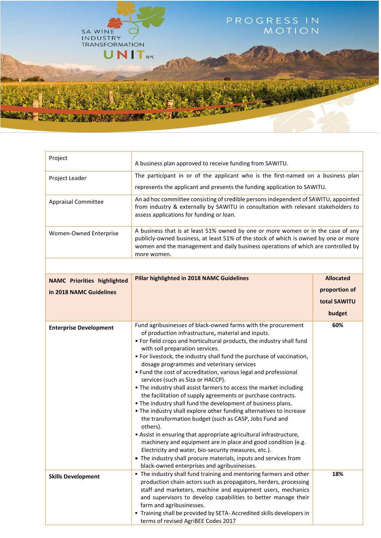

| Project                            | A business plan approved to receive funding from SAWITU.                                                                                                                                                                                                                                                                                                                                                                                                                                                                                                                                                                                                                                                                                                                                                                                                                                                                                                                                                                                                                                                                            |                  |  |
|------------------------------------|-------------------------------------------------------------------------------------------------------------------------------------------------------------------------------------------------------------------------------------------------------------------------------------------------------------------------------------------------------------------------------------------------------------------------------------------------------------------------------------------------------------------------------------------------------------------------------------------------------------------------------------------------------------------------------------------------------------------------------------------------------------------------------------------------------------------------------------------------------------------------------------------------------------------------------------------------------------------------------------------------------------------------------------------------------------------------------------------------------------------------------------|------------------|--|
| Project Leader                     | The participant in or of the applicant who is the first-named on a business plan                                                                                                                                                                                                                                                                                                                                                                                                                                                                                                                                                                                                                                                                                                                                                                                                                                                                                                                                                                                                                                                    |                  |  |
|                                    | represents the applicant and presents the funding application to SAWITU.                                                                                                                                                                                                                                                                                                                                                                                                                                                                                                                                                                                                                                                                                                                                                                                                                                                                                                                                                                                                                                                            |                  |  |
| <b>Appraisal Committee</b>         | An ad hoc committee consisting of credible persons independent of SAWITU, appointed<br>from industry & externally by SAWITU in consultation with relevant stakeholders to<br>assess applications for funding or loan.                                                                                                                                                                                                                                                                                                                                                                                                                                                                                                                                                                                                                                                                                                                                                                                                                                                                                                               |                  |  |
| Women-Owned Enterprise             | A business that is at least 51% owned by one or more women or in the case of any<br>publicly-owned business, at least 51% of the stock of which is owned by one or more<br>women and the management and daily business operations of which are controlled by<br>more women.                                                                                                                                                                                                                                                                                                                                                                                                                                                                                                                                                                                                                                                                                                                                                                                                                                                         |                  |  |
|                                    |                                                                                                                                                                                                                                                                                                                                                                                                                                                                                                                                                                                                                                                                                                                                                                                                                                                                                                                                                                                                                                                                                                                                     |                  |  |
| <b>NAMC Priorities highlighted</b> | <b>Pillar highlighted in 2018 NAMC Guidelines</b>                                                                                                                                                                                                                                                                                                                                                                                                                                                                                                                                                                                                                                                                                                                                                                                                                                                                                                                                                                                                                                                                                   | <b>Allocated</b> |  |
| in 2018 NAMC Guidelines            |                                                                                                                                                                                                                                                                                                                                                                                                                                                                                                                                                                                                                                                                                                                                                                                                                                                                                                                                                                                                                                                                                                                                     | proportion of    |  |
|                                    |                                                                                                                                                                                                                                                                                                                                                                                                                                                                                                                                                                                                                                                                                                                                                                                                                                                                                                                                                                                                                                                                                                                                     | total SAWITU     |  |
|                                    |                                                                                                                                                                                                                                                                                                                                                                                                                                                                                                                                                                                                                                                                                                                                                                                                                                                                                                                                                                                                                                                                                                                                     | budget           |  |
| <b>Enterprise Development</b>      | Fund agribusinesses of black-owned farms with the procurement<br>of production infrastructure, material and inputs.<br>. For field crops and horticultural products, the industry shall fund<br>with soil preparation services.<br>• For livestock, the industry shall fund the purchase of vaccination,<br>dosage programmes and veterinary services<br>• Fund the cost of accreditation, various legal and professional<br>services (such as Siza or HACCP).<br>• The industry shall assist farmers to access the market including<br>the facilitation of supply agreements or purchase contracts.<br>. The industry shall fund the development of business plans.<br>• The industry shall explore other funding alternatives to increase<br>the transformation budget (such as CASP, Jobs Fund and<br>others).<br>• Assist in ensuring that appropriate agricultural infrastructure,<br>machinery and equipment are in place and good condition (e.g.<br>Electricity and water, bio-security measures, etc.).<br>• The industry shall procure materials, inputs and services from<br>black-owned enterprises and agribusinesses. | 60%              |  |
| <b>Skills Development</b>          | . The industry shall fund training and mentoring farmers and other<br>production chain actors such as propagators, herders, processing<br>staff and marketers, machine and equipment users, mechanics<br>and supervisors to develop capabilities to better manage their<br>farm and agribusinesses.<br>" Training shall be provided by SETA- Accredited skills developers in<br>terms of revised AgriBEE Codes 2017                                                                                                                                                                                                                                                                                                                                                                                                                                                                                                                                                                                                                                                                                                                 | 18%              |  |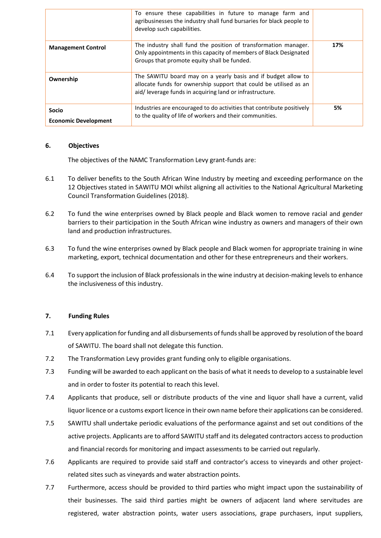|                                             | To ensure these capabilities in future to manage farm and<br>agribusinesses the industry shall fund bursaries for black people to<br>develop such capabilities.                               |     |
|---------------------------------------------|-----------------------------------------------------------------------------------------------------------------------------------------------------------------------------------------------|-----|
| <b>Management Control</b>                   | The industry shall fund the position of transformation manager.<br>Only appointments in this capacity of members of Black Designated<br>Groups that promote equity shall be funded.           | 17% |
| Ownership                                   | The SAWITU board may on a yearly basis and if budget allow to<br>allocate funds for ownership support that could be utilised as an<br>aid/leverage funds in acquiring land or infrastructure. |     |
| <b>Socio</b><br><b>Economic Development</b> | Industries are encouraged to do activities that contribute positively<br>to the quality of life of workers and their communities.                                                             | 5%  |

#### **6. Objectives**

The objectives of the NAMC Transformation Levy grant-funds are:

- 6.1 To deliver benefits to the South African Wine Industry by meeting and exceeding performance on the 12 Objectives stated in SAWITU MOI whilst aligning all activities to the National Agricultural Marketing Council Transformation Guidelines (2018).
- 6.2 To fund the wine enterprises owned by Black people and Black women to remove racial and gender barriers to their participation in the South African wine industry as owners and managers of their own land and production infrastructures.
- 6.3 To fund the wine enterprises owned by Black people and Black women for appropriate training in wine marketing, export, technical documentation and other for these entrepreneurs and their workers.
- 6.4 To support the inclusion of Black professionals in the wine industry at decision-making levels to enhance the inclusiveness of this industry.

#### **7. Funding Rules**

- 7.1 Every application for funding and all disbursements of funds shall be approved by resolution of the board of SAWITU. The board shall not delegate this function.
- 7.2 The Transformation Levy provides grant funding only to eligible organisations.
- 7.3 Funding will be awarded to each applicant on the basis of what it needs to develop to a sustainable level and in order to foster its potential to reach this level.
- 7.4 Applicants that produce, sell or distribute products of the vine and liquor shall have a current, valid liquor licence or a customs export licence in their own name before their applications can be considered.
- 7.5 SAWITU shall undertake periodic evaluations of the performance against and set out conditions of the active projects. Applicants are to afford SAWITU staff and its delegated contractors access to production and financial records for monitoring and impact assessments to be carried out regularly.
- 7.6 Applicants are required to provide said staff and contractor's access to vineyards and other projectrelated sites such as vineyards and water abstraction points.
- 7.7 Furthermore, access should be provided to third parties who might impact upon the sustainability of their businesses. The said third parties might be owners of adjacent land where servitudes are registered, water abstraction points, water users associations, grape purchasers, input suppliers,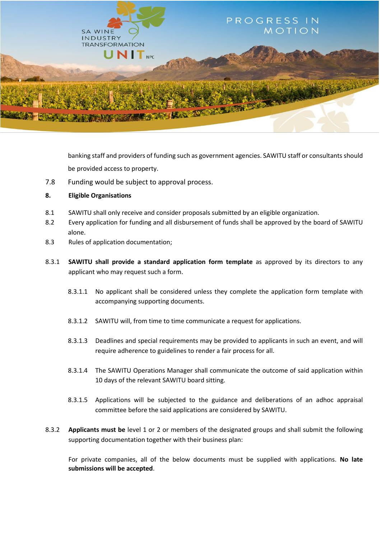

banking staff and providers of funding such as government agencies. SAWITU staff or consultants should be provided access to property.

- 7.8 Funding would be subject to approval process.
- **8. Eligible Organisations**
- 8.1 SAWITU shall only receive and consider proposals submitted by an eligible organization.
- 8.2 Every application for funding and all disbursement of funds shall be approved by the board of SAWITU alone.
- 8.3 Rules of application documentation;
- 8.3.1 **SAWITU shall provide a standard application form template** as approved by its directors to any applicant who may request such a form.
	- 8.3.1.1 No applicant shall be considered unless they complete the application form template with accompanying supporting documents.
	- 8.3.1.2 SAWITU will, from time to time communicate a request for applications.
	- 8.3.1.3 Deadlines and special requirements may be provided to applicants in such an event, and will require adherence to guidelines to render a fair process for all.
	- 8.3.1.4 The SAWITU Operations Manager shall communicate the outcome of said application within 10 days of the relevant SAWITU board sitting.
	- 8.3.1.5 Applications will be subjected to the guidance and deliberations of an adhoc appraisal committee before the said applications are considered by SAWITU.
- 8.3.2 **Applicants must be** level 1 or 2 or members of the designated groups and shall submit the following supporting documentation together with their business plan:

For private companies, all of the below documents must be supplied with applications. **No late submissions will be accepted**.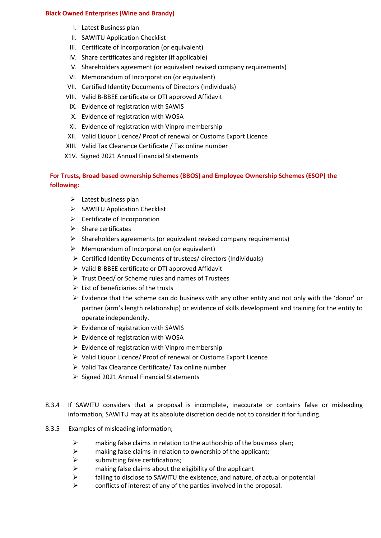# **Black Owned Enterprises (Wine and Brandy)**

- I. Latest Business plan
- II. SAWITU Application Checklist
- III. Certificate of Incorporation (or equivalent)
- IV. Share certificates and register (if applicable)
- V. Shareholders agreement (or equivalent revised company requirements)
- VI. Memorandum of Incorporation (or equivalent)
- VII. Certified Identity Documents of Directors (Individuals)
- VIII. Valid B-BBEE certificate or DTI approved Affidavit
	- IX. Evidence of registration with SAWIS
	- X. Evidence of registration with WOSA
	- XI. Evidence of registration with Vinpro membership
- XII. Valid Liquor Licence/ Proof of renewal or Customs Export Licence
- XIII. Valid Tax Clearance Certificate / Tax online number
- X1V. Signed 2021 Annual Financial Statements

# **For Trusts, Broad based ownership Schemes (BBOS) and Employee Ownership Schemes (ESOP) the following:**

- $\triangleright$  Latest business plan
- $\triangleright$  SAWITU Application Checklist
- $\triangleright$  Certificate of Incorporation
- $\triangleright$  Share certificates
- $\triangleright$  Shareholders agreements (or equivalent revised company requirements)
- $\triangleright$  Memorandum of Incorporation (or equivalent)
- Certified Identity Documents of trustees/ directors (Individuals)
- $\triangleright$  Valid B-BBEE certificate or DTI approved Affidavit
- $\triangleright$  Trust Deed/ or Scheme rules and names of Trustees
- $\triangleright$  List of beneficiaries of the trusts
- $\triangleright$  Evidence that the scheme can do business with any other entity and not only with the 'donor' or partner (arm's length relationship) or evidence of skills development and training for the entity to operate independently.
- $\triangleright$  Evidence of registration with SAWIS
- $\triangleright$  Evidence of registration with WOSA
- $\triangleright$  Evidence of registration with Vinpro membership
- Valid Liquor Licence/ Proof of renewal or Customs Export Licence
- $\triangleright$  Valid Tax Clearance Certificate/ Tax online number
- $\triangleright$  Signed 2021 Annual Financial Statements
- 8.3.4 If SAWITU considers that a proposal is incomplete, inaccurate or contains false or misleading information, SAWITU may at its absolute discretion decide not to consider it for funding.
- 8.3.5 Examples of misleading information;
	- $\triangleright$  making false claims in relation to the authorship of the business plan;
	- $\triangleright$  making false claims in relation to ownership of the applicant;
	- $\triangleright$  submitting false certifications;
	- $\triangleright$  making false claims about the eligibility of the applicant
	- $\triangleright$  failing to disclose to SAWITU the existence, and nature, of actual or potential
	- $\triangleright$  conflicts of interest of any of the parties involved in the proposal.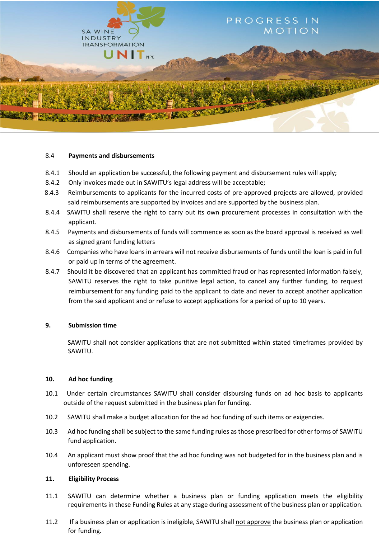

#### 8.4 **Payments and disbursements**

- 8.4.1 Should an application be successful, the following payment and disbursement rules will apply;
- 8.4.2 Only invoices made out in SAWITU's legal address will be acceptable;
- 8.4.3 Reimbursements to applicants for the incurred costs of pre-approved projects are allowed, provided said reimbursements are supported by invoices and are supported by the business plan.
- 8.4.4 SAWITU shall reserve the right to carry out its own procurement processes in consultation with the applicant.
- 8.4.5 Payments and disbursements of funds will commence as soon as the board approval is received as well as signed grant funding letters
- 8.4.6 Companies who have loans in arrears will not receive disbursements of funds until the loan is paid in full or paid up in terms of the agreement.
- 8.4.7Should it be discovered that an applicant has committed fraud or has represented information falsely, SAWITU reserves the right to take punitive legal action, to cancel any further funding, to request reimbursement for any funding paid to the applicant to date and never to accept another application from the said applicant and or refuse to accept applications for a period of up to 10 years.

#### **9. Submission time**

 SAWITU shall not consider applications that are not submitted within stated timeframes provided by SAWITU.

#### **10. Ad hoc funding**

- 10.1 Under certain circumstances SAWITU shall consider disbursing funds on ad hoc basis to applicants outside of the request submitted in the business plan for funding.
- 10.2 SAWITU shall make a budget allocation for the ad hoc funding of such items or exigencies.
- 10.3Ad hoc funding shall be subject to the same funding rules as those prescribed for other forms of SAWITU fund application.
- 10.4 An applicant must show proof that the ad hoc funding was not budgeted for in the business plan and is unforeseen spending.

#### **11. Eligibility Process**

- 11.1 SAWITU can determine whether a business plan or funding application meets the eligibility requirements in these Funding Rules at any stage during assessment of the business plan or application.
- 11.2 If a business plan or application is ineligible, SAWITU shall not approve the business plan or application for funding.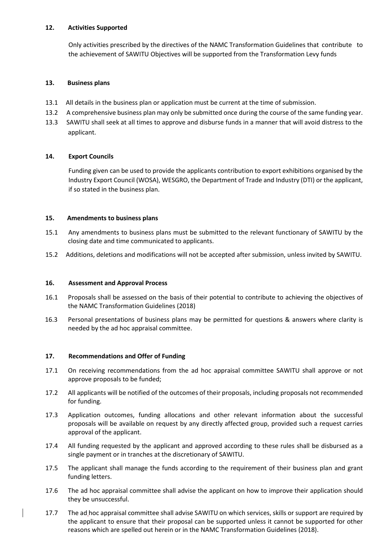#### **12. Activities Supported**

Only activities prescribed by the directives of the NAMC Transformation Guidelines that contribute to the achievement of SAWITU Objectives will be supported from the Transformation Levy funds

## **13. Business plans**

- 13.1 All details in the business plan or application must be current at the time of submission.
- 13.2 A comprehensive business plan may only be submitted once during the course of the same funding year.
- 13.3 SAWITU shall seek at all times to approve and disburse funds in a manner that will avoid distress to the applicant.

## **14. Export Councils**

Funding given can be used to provide the applicants contribution to export exhibitions organised by the Industry Export Council (WOSA), WESGRO, the Department of Trade and Industry (DTI) or the applicant, if so stated in the business plan.

## **15. Amendments to business plans**

- 15.1 Any amendments to business plans must be submitted to the relevant functionary of SAWITU by the closing date and time communicated to applicants.
- 15.2Additions, deletions and modifications will not be accepted after submission, unless invited by SAWITU.

#### **16. Assessment and Approval Process**

- 16.1 Proposals shall be assessed on the basis of their potential to contribute to achieving the objectives of the NAMC Transformation Guidelines (2018)
- 16.3 Personal presentations of business plans may be permitted for questions & answers where clarity is needed by the ad hoc appraisal committee.

#### **17. Recommendations and Offer of Funding**

- 17.1 On receiving recommendations from the ad hoc appraisal committee SAWITU shall approve or not approve proposals to be funded;
- 17.2 All applicants will be notified of the outcomes of their proposals, including proposals not recommended for funding.
- 17.3 Application outcomes, funding allocations and other relevant information about the successful proposals will be available on request by any directly affected group, provided such a request carries approval of the applicant.
- 17.4 All funding requested by the applicant and approved according to these rules shall be disbursed as a single payment or in tranches at the discretionary of SAWITU.
- 17.5 The applicant shall manage the funds according to the requirement of their business plan and grant funding letters.
- 17.6 The ad hoc appraisal committee shall advise the applicant on how to improve their application should they be unsuccessful.
- 17.7 The ad hoc appraisal committee shall advise SAWITU on which services, skills or support are required by the applicant to ensure that their proposal can be supported unless it cannot be supported for other reasons which are spelled out herein or in the NAMC Transformation Guidelines (2018).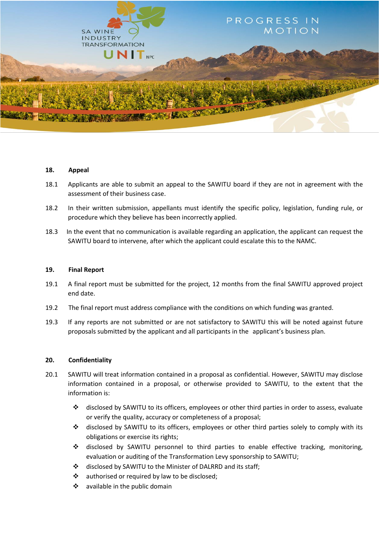

#### **18. Appeal**

- 18.1 Applicants are able to submit an appeal to the SAWITU board if they are not in agreement with the assessment of their business case.
- 18.2 In their written submission, appellants must identify the specific policy, legislation, funding rule, or procedure which they believe has been incorrectly applied.
- 18.3 In the event that no communication is available regarding an application, the applicant can request the SAWITU board to intervene, after which the applicant could escalate this to the NAMC.

#### **19. Final Report**

- 19.1 A final report must be submitted for the project, 12 months from the final SAWITU approved project end date.
- 19.2 The final report must address compliance with the conditions on which funding was granted.
- 19.3 If any reports are not submitted or are not satisfactory to SAWITU this will be noted against future proposals submitted by the applicant and all participants in the applicant's business plan.

#### **20. Confidentiality**

- 20.1 SAWITU will treat information contained in a proposal as confidential. However, SAWITU may disclose information contained in a proposal, or otherwise provided to SAWITU, to the extent that the information is:
	- $\div$  disclosed by SAWITU to its officers, employees or other third parties in order to assess, evaluate or verify the quality, accuracy or completeness of a proposal;
	- disclosed by SAWITU to its officers, employees or other third parties solely to comply with its obligations or exercise its rights;
	- disclosed by SAWITU personnel to third parties to enable effective tracking, monitoring, evaluation or auditing of the Transformation Levy sponsorship to SAWITU;
	- $\div$  disclosed by SAWITU to the Minister of DALRRD and its staff;
	- $\cdot$  authorised or required by law to be disclosed;
	- $\div$  available in the public domain